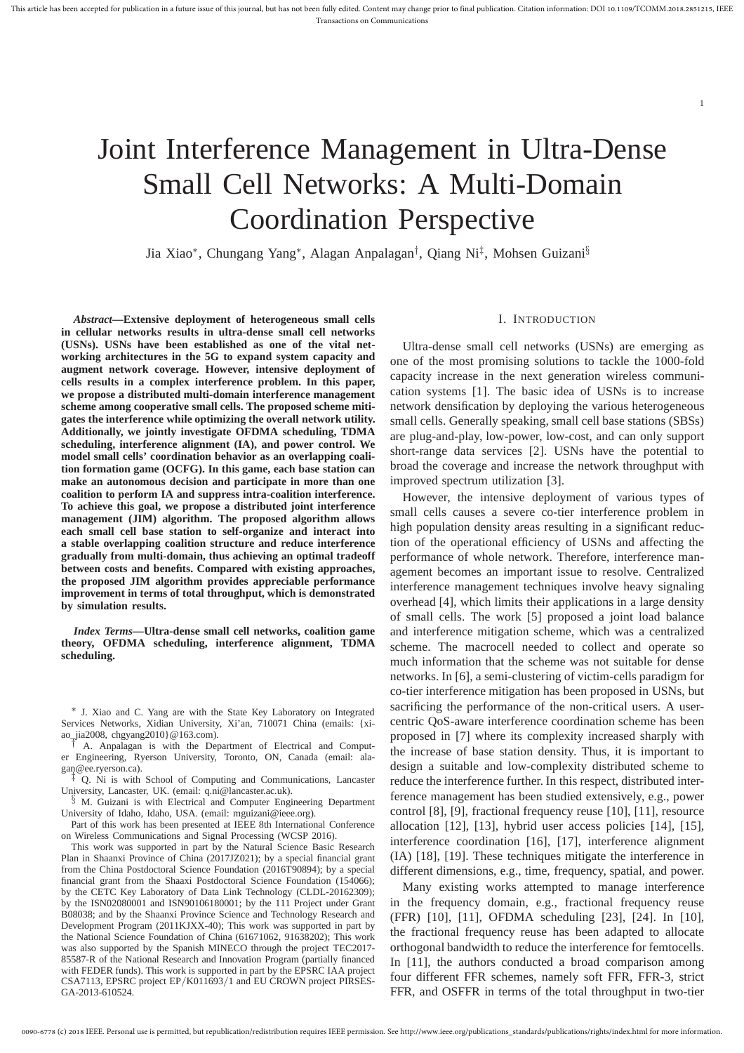# Joint Interference Management in Ultra-Dense Small Cell Networks: A Multi-Domain Coordination Perspective

Jia Xiao<sup>∗</sup> , Chungang Yang<sup>∗</sup> , Alagan Anpalagan† , Qiang Ni‡ , Mohsen Guizani§

*Abstract***—Extensive deployment of heterogeneous small cells in cellular networks results in ultra-dense small cell networks (USNs). USNs have been established as one of the vital networking architectures in the 5G to expand system capacity and augment network coverage. However, intensive deployment of cells results in a complex interference problem. In this paper, we propose a distributed multi-domain interference management scheme among cooperative small cells. The proposed scheme mitigates the interference while optimizing the overall network utility. Additionally, we jointly investigate OFDMA scheduling, TDMA scheduling, interference alignment (IA), and power control. We model small cells' coordination behavior as an overlapping coalition formation game (OCFG). In this game, each base station can make an autonomous decision and participate in more than one coalition to perform IA and suppress intra-coalition interference. To achieve this goal, we propose a distributed joint interference management (JIM) algorithm. The proposed algorithm allows each small cell base station to self-organize and interact into a stable overlapping coalition structure and reduce interference gradually from multi-domain, thus achieving an optimal tradeoff between costs and benefits. Compared with existing approaches, the proposed JIM algorithm provides appreciable performance improvement in terms of total throughput, which is demonstrated by simulation results.**

*Index Terms***—Ultra-dense small cell networks, coalition game theory, OFDMA scheduling, interference alignment, TDMA scheduling.**

∗ J. Xiao and C. Yang are with the State Key Laboratory on Integrated Services Networks, Xidian University, Xi'an, 710071 China (emails: {xiao\_jia2008, chgyang2010}@163.com).

† A. Anpalagan is with the Department of Electrical and Computer Engineering, Ryerson University, Toronto, ON, Canada (email: ala- $\begin{array}{c}\text{Equation 1:}\ \text{g} \text{and} \text{the expression} \text{.}\ \text{Equation 1:}\ \text{Equation 2:}\ \text{Equation 3:}\ \text{Equation 3:}\ \text{Equation 4:}\ \text{Equation 5:}\ \text{Equation 6:}\ \text{Equation 7:}\ \text{Equation 7:}\ \text{Equation 7:}\ \text{Equation 8:}\ \text{Equation 7:}\ \text{Equation 8:}\ \text{Equation 9:}\ \text{Equation 9:}\ \text{Equation 1:}\ \text{Equation 1:}\ \text{Equation 1:}\ \text{Equation 1:}\ \text{Equation 1:}\ \text{Equ$ 

Q. Ni is with School of Computing and Communications, Lancaster University, Lancaster, UK. (email: q.ni@lancaster.ac.uk).

<sup>§</sup> M. Guizani is with Electrical and Computer Engineering Department University of Idaho, Idaho, USA. (email: mguizani@ieee.org).

Part of this work has been presented at IEEE 8th International Conference on Wireless Communications and Signal Processing (WCSP 2016).

This work was supported in part by the Natural Science Basic Research Plan in Shaanxi Province of China (2017JZ021); by a special financial grant from the China Postdoctoral Science Foundation (2016T90894); by a special financial grant from the Shaaxi Postdoctoral Science Foundation (154066); by the CETC Key Laboratory of Data Link Technology (CLDL-20162309); by the ISN02080001 and ISN90106180001; by the 111 Project under Grant B08038; and by the Shaanxi Province Science and Technology Research and Development Program (2011KJXX-40); This work was supported in part by the National Science Foundation of China (61671062, 91638202); This work was also supported by the Spanish MINECO through the project TEC2017- 85587-R of the National Research and Innovation Program (partially financed with FEDER funds). This work is supported in part by the EPSRC IAA project CSA7113, EPSRC project EP/K011693/1 and EU CROWN project PIRSES-GA-2013-610524.

#### I. INTRODUCTION

1

Ultra-dense small cell networks (USNs) are emerging as one of the most promising solutions to tackle the 1000-fold capacity increase in the next generation wireless communication systems [1]. The basic idea of USNs is to increase network densification by deploying the various heterogeneous small cells. Generally speaking, small cell base stations (SBSs) are plug-and-play, low-power, low-cost, and can only support short-range data services [2]. USNs have the potential to broad the coverage and increase the network throughput with improved spectrum utilization [3].

However, the intensive deployment of various types of small cells causes a severe co-tier interference problem in high population density areas resulting in a significant reduction of the operational efficiency of USNs and affecting the performance of whole network. Therefore, interference management becomes an important issue to resolve. Centralized interference management techniques involve heavy signaling overhead [4], which limits their applications in a large density of small cells. The work [5] proposed a joint load balance and interference mitigation scheme, which was a centralized scheme. The macrocell needed to collect and operate so much information that the scheme was not suitable for dense networks. In [6], a semi-clustering of victim-cells paradigm for co-tier interference mitigation has been proposed in USNs, but sacrificing the performance of the non-critical users. A usercentric QoS-aware interference coordination scheme has been proposed in [7] where its complexity increased sharply with the increase of base station density. Thus, it is important to design a suitable and low-complexity distributed scheme to reduce the interference further. In this respect, distributed interference management has been studied extensively, e.g., power control [8], [9], fractional frequency reuse [10], [11], resource allocation [12], [13], hybrid user access policies [14], [15], interference coordination [16], [17], interference alignment (IA) [18], [19]. These techniques mitigate the interference in different dimensions, e.g., time, frequency, spatial, and power.

Many existing works attempted to manage interference in the frequency domain, e.g., fractional frequency reuse (FFR) [10], [11], OFDMA scheduling [23], [24]. In [10], the fractional frequency reuse has been adapted to allocate orthogonal bandwidth to reduce the interference for femtocells. In [11], the authors conducted a broad comparison among four different FFR schemes, namely soft FFR, FFR-3, strict FFR, and OSFFR in terms of the total throughput in two-tier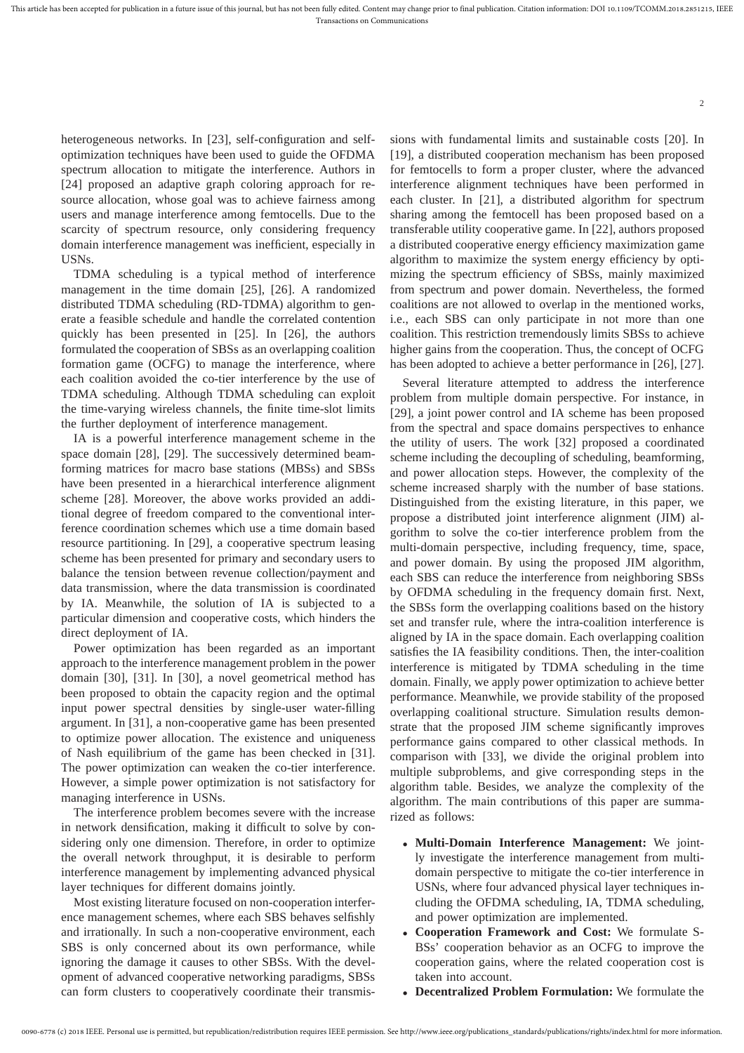heterogeneous networks. In [23], self-configuration and selfoptimization techniques have been used to guide the OFDMA spectrum allocation to mitigate the interference. Authors in [24] proposed an adaptive graph coloring approach for resource allocation, whose goal was to achieve fairness among users and manage interference among femtocells. Due to the scarcity of spectrum resource, only considering frequency domain interference management was inefficient, especially in USNs.

TDMA scheduling is a typical method of interference management in the time domain [25], [26]. A randomized distributed TDMA scheduling (RD-TDMA) algorithm to generate a feasible schedule and handle the correlated contention quickly has been presented in [25]. In [26], the authors formulated the cooperation of SBSs as an overlapping coalition formation game (OCFG) to manage the interference, where each coalition avoided the co-tier interference by the use of TDMA scheduling. Although TDMA scheduling can exploit the time-varying wireless channels, the finite time-slot limits the further deployment of interference management.

IA is a powerful interference management scheme in the space domain [28], [29]. The successively determined beamforming matrices for macro base stations (MBSs) and SBSs have been presented in a hierarchical interference alignment scheme [28]. Moreover, the above works provided an additional degree of freedom compared to the conventional interference coordination schemes which use a time domain based resource partitioning. In [29], a cooperative spectrum leasing scheme has been presented for primary and secondary users to balance the tension between revenue collection/payment and data transmission, where the data transmission is coordinated by IA. Meanwhile, the solution of IA is subjected to a particular dimension and cooperative costs, which hinders the direct deployment of IA.

Power optimization has been regarded as an important approach to the interference management problem in the power domain [30], [31]. In [30], a novel geometrical method has been proposed to obtain the capacity region and the optimal input power spectral densities by single-user water-filling argument. In [31], a non-cooperative game has been presented to optimize power allocation. The existence and uniqueness of Nash equilibrium of the game has been checked in [31]. The power optimization can weaken the co-tier interference. However, a simple power optimization is not satisfactory for managing interference in USNs.

The interference problem becomes severe with the increase in network densification, making it difficult to solve by considering only one dimension. Therefore, in order to optimize the overall network throughput, it is desirable to perform interference management by implementing advanced physical layer techniques for different domains jointly.

Most existing literature focused on non-cooperation interference management schemes, where each SBS behaves selfishly and irrationally. In such a non-cooperative environment, each SBS is only concerned about its own performance, while ignoring the damage it causes to other SBSs. With the development of advanced cooperative networking paradigms, SBSs can form clusters to cooperatively coordinate their transmissions with fundamental limits and sustainable costs [20]. In [19], a distributed cooperation mechanism has been proposed for femtocells to form a proper cluster, where the advanced interference alignment techniques have been performed in each cluster. In [21], a distributed algorithm for spectrum sharing among the femtocell has been proposed based on a transferable utility cooperative game. In [22], authors proposed a distributed cooperative energy efficiency maximization game algorithm to maximize the system energy efficiency by optimizing the spectrum efficiency of SBSs, mainly maximized from spectrum and power domain. Nevertheless, the formed coalitions are not allowed to overlap in the mentioned works, i.e., each SBS can only participate in not more than one coalition. This restriction tremendously limits SBSs to achieve higher gains from the cooperation. Thus, the concept of OCFG has been adopted to achieve a better performance in [26], [27].

 $\overline{2}$ 

Several literature attempted to address the interference problem from multiple domain perspective. For instance, in [29], a joint power control and IA scheme has been proposed from the spectral and space domains perspectives to enhance the utility of users. The work [32] proposed a coordinated scheme including the decoupling of scheduling, beamforming, and power allocation steps. However, the complexity of the scheme increased sharply with the number of base stations. Distinguished from the existing literature, in this paper, we propose a distributed joint interference alignment (JIM) algorithm to solve the co-tier interference problem from the multi-domain perspective, including frequency, time, space, and power domain. By using the proposed JIM algorithm, each SBS can reduce the interference from neighboring SBSs by OFDMA scheduling in the frequency domain first. Next, the SBSs form the overlapping coalitions based on the history set and transfer rule, where the intra-coalition interference is aligned by IA in the space domain. Each overlapping coalition satisfies the IA feasibility conditions. Then, the inter-coalition interference is mitigated by TDMA scheduling in the time domain. Finally, we apply power optimization to achieve better performance. Meanwhile, we provide stability of the proposed overlapping coalitional structure. Simulation results demonstrate that the proposed JIM scheme significantly improves performance gains compared to other classical methods. In comparison with [33], we divide the original problem into multiple subproblems, and give corresponding steps in the algorithm table. Besides, we analyze the complexity of the algorithm. The main contributions of this paper are summarized as follows:

- **Multi-Domain Interference Management:** We jointly investigate the interference management from multidomain perspective to mitigate the co-tier interference in USNs, where four advanced physical layer techniques including the OFDMA scheduling, IA, TDMA scheduling, and power optimization are implemented.
- **Cooperation Framework and Cost:** We formulate S-BSs' cooperation behavior as an OCFG to improve the cooperation gains, where the related cooperation cost is taken into account.
- **Decentralized Problem Formulation:** We formulate the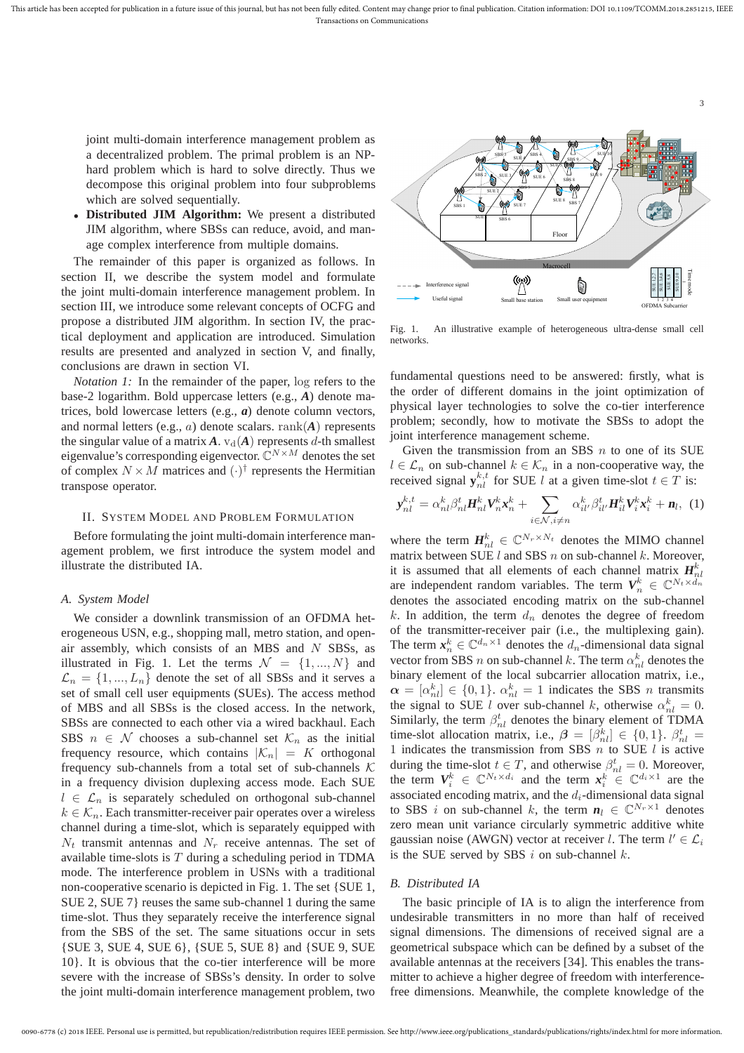joint multi-domain interference management problem as a decentralized problem. The primal problem is an NPhard problem which is hard to solve directly. Thus we decompose this original problem into four subproblems which are solved sequentially.

• **Distributed JIM Algorithm:** We present a distributed JIM algorithm, where SBSs can reduce, avoid, and manage complex interference from multiple domains.

The remainder of this paper is organized as follows. In section II, we describe the system model and formulate the joint multi-domain interference management problem. In section III, we introduce some relevant concepts of OCFG and propose a distributed JIM algorithm. In section IV, the practical deployment and application are introduced. Simulation results are presented and analyzed in section V, and finally, conclusions are drawn in section VI.

*Notation 1:* In the remainder of the paper, log refers to the base-2 logarithm. Bold uppercase letters (e.g., *A*) denote matrices, bold lowercase letters (e.g., *a*) denote column vectors, and normal letters (e.g., a) denote scalars. rank(*A*) represents the singular value of a matrix  $A$ .  $v_d(A)$  represents d-th smallest eigenvalue's corresponding eigenvector.  $\mathbb{C}^{N \times M}$  denotes the set of complex  $N \times M$  matrices and  $(\cdot)^\dagger$  represents the Hermitian transpose operator.

# II. SYSTEM MODEL AND PROBLEM FORMULATION

Before formulating the joint multi-domain interference management problem, we first introduce the system model and illustrate the distributed IA.

# *A. System Model*

We consider a downlink transmission of an OFDMA heterogeneous USN, e.g., shopping mall, metro station, and openair assembly, which consists of an MBS and  $N$  SBSs, as illustrated in Fig. 1. Let the terms  $\mathcal{N} = \{1, ..., N\}$  and  $\mathcal{L}_n = \{1, ..., L_n\}$  denote the set of all SBSs and it serves a set of small cell user equipments (SUEs). The access method of MBS and all SBSs is the closed access. In the network, SBSs are connected to each other via a wired backhaul. Each SBS  $n \in \mathcal{N}$  chooses a sub-channel set  $\mathcal{K}_n$  as the initial frequency resource, which contains  $|{\cal K}_n| = K$  orthogonal frequency sub-channels from a total set of sub-channels  $K$ in a frequency division duplexing access mode. Each SUE  $l \in \mathcal{L}_n$  is separately scheduled on orthogonal sub-channel  $k \in \mathcal{K}_n$ . Each transmitter-receiver pair operates over a wireless channel during a time-slot, which is separately equipped with  $N_t$  transmit antennas and  $N_r$  receive antennas. The set of available time-slots is  $T$  during a scheduling period in TDMA mode. The interference problem in USNs with a traditional non-cooperative scenario is depicted in Fig. 1. The set {SUE 1, SUE 2, SUE 7} reuses the same sub-channel 1 during the same time-slot. Thus they separately receive the interference signal from the SBS of the set. The same situations occur in sets {SUE 3, SUE 4, SUE 6}, {SUE 5, SUE 8} and {SUE 9, SUE 10}. It is obvious that the co-tier interference will be more severe with the increase of SBSs's density. In order to solve the joint multi-domain interference management problem, two



3

Fig. 1. An illustrative example of heterogeneous ultra-dense small cell networks.

fundamental questions need to be answered: firstly, what is the order of different domains in the joint optimization of physical layer technologies to solve the co-tier interference problem; secondly, how to motivate the SBSs to adopt the joint interference management scheme.

Given the transmission from an SBS  $n$  to one of its SUE  $l \in \mathcal{L}_n$  on sub-channel  $k \in \mathcal{K}_n$  in a non-cooperative way, the received signal  $y_{nl}^{k,t}$  for SUE l at a given time-slot  $t \in T$  is:

$$
\mathbf{y}_{nl}^{k,t} = \alpha_{nl}^k \beta_{nl}^t \mathbf{H}_{nl}^k \mathbf{V}_n^k \mathbf{x}_n^k + \sum_{i \in \mathcal{N}, i \neq n} \alpha_{il'}^k \beta_{il'}^t \mathbf{H}_{il}^k \mathbf{V}_i^k \mathbf{x}_i^k + \mathbf{n}_l, \tag{1}
$$

where the term  $\mathbf{H}_{nl}^{k} \in \mathbb{C}^{N_r \times N_t}$  denotes the MIMO channel matrix between SUE  $l$  and SBS  $n$  on sub-channel  $k$ . Moreover, it is assumed that all elements of each channel matrix  $H_{nl}^k$ are independent random variables. The term  $V_n^k \in \mathbb{C}^{N_t \times d_n}$ denotes the associated encoding matrix on the sub-channel  $k$ . In addition, the term  $d_n$  denotes the degree of freedom of the transmitter-receiver pair (i.e., the multiplexing gain). The term  $x_n^k \in \mathbb{C}^{d_n \times 1}$  denotes the  $d_n$ -dimensional data signal vector from SBS  $n$  on sub-channel  $k.$  The term  $\alpha_{nl}^k$  denotes the binary element of the local subcarrier allocation matrix, i.e.,  $\alpha = [\alpha_{nl}^k] \in \{0, 1\}$ .  $\alpha_{nl}^k = 1$  indicates the SBS *n* transmits the signal to SUE l over sub-channel k, otherwise  $\alpha_{nl}^k = 0$ . Similarly, the term  $\beta_{nl}^t$  denotes the binary element of TDMA time-slot allocation matrix, i.e.,  $\beta = [\beta_{nl}^k] \in \{0, 1\}$ .  $\beta_{nl}^t =$ 1 indicates the transmission from SBS  $n$  to SUE  $l$  is active during the time-slot  $t \in T$ , and otherwise  $\beta_{nl}^t = 0$ . Moreover, the term  $V_i^k \in \mathbb{C}^{N_t \times d_i}$  and the term  $x_i^k \in \mathbb{C}^{d_i \times 1}$  are the associated encoding matrix, and the  $d_i$ -dimensional data signal to SBS *i* on sub-channel *k*, the term  $n_l \in \mathbb{C}^{N_r \times 1}$  denotes zero mean unit variance circularly symmetric additive white gaussian noise (AWGN) vector at receiver l. The term  $l' \in \mathcal{L}_i$ is the SUE served by SBS  $i$  on sub-channel  $k$ .

# *B. Distributed IA*

The basic principle of IA is to align the interference from undesirable transmitters in no more than half of received signal dimensions. The dimensions of received signal are a geometrical subspace which can be defined by a subset of the available antennas at the receivers [34]. This enables the transmitter to achieve a higher degree of freedom with interferencefree dimensions. Meanwhile, the complete knowledge of the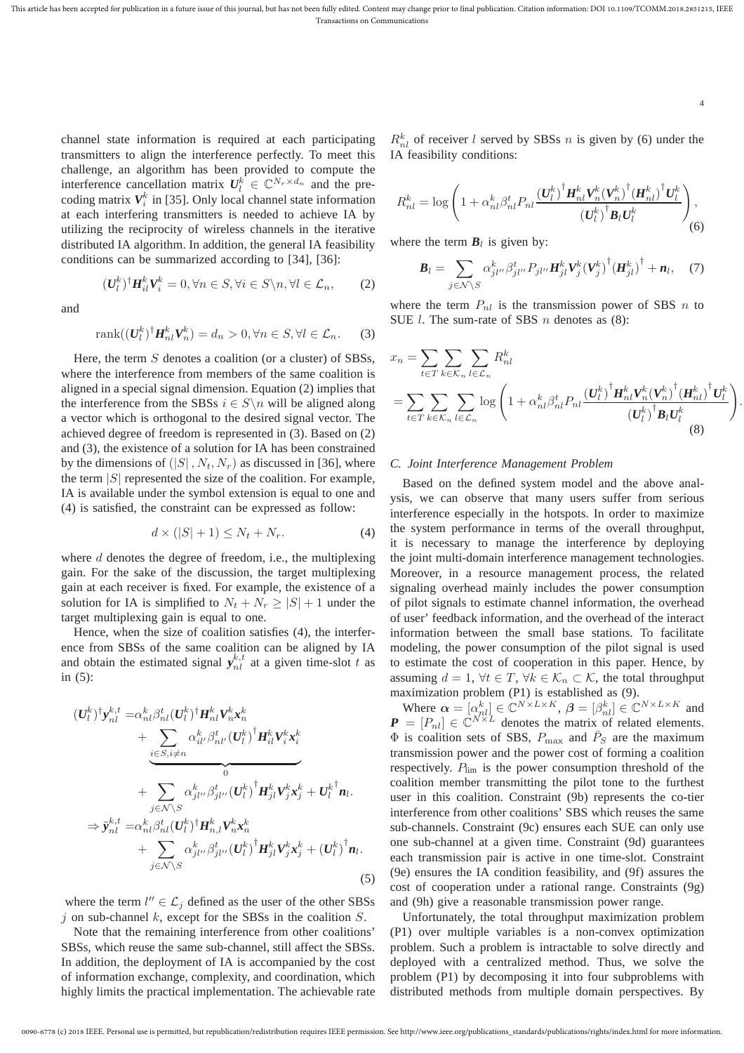channel state information is required at each participating transmitters to align the interference perfectly. To meet this challenge, an algorithm has been provided to compute the interference cancellation matrix  $U_l^k \in \mathbb{C}^{N_r \times d_n}$  and the precoding matrix  $V_i^k$  in [35]. Only local channel state information at each interfering transmitters is needed to achieve IA by utilizing the reciprocity of wireless channels in the iterative distributed IA algorithm. In addition, the general IA feasibility conditions can be summarized according to [34], [36]:

and

$$
rank((\boldsymbol{U}_l^k)^{\dagger} \boldsymbol{H}_{nl}^k \boldsymbol{V}_n^k) = d_n > 0, \forall n \in S, \forall l \in \mathcal{L}_n.
$$
 (3)

 $(\boldsymbol{U}_l^k)^{\dagger} \boldsymbol{H}_{il}^k \boldsymbol{V}_i^k = 0, \forall n \in S, \forall i \in S \backslash n, \forall l \in \mathcal{L}_n,$  (2)

Here, the term  $S$  denotes a coalition (or a cluster) of SBSs, where the interference from members of the same coalition is aligned in a special signal dimension. Equation (2) implies that the interference from the SBSs  $i \in S \setminus n$  will be aligned along a vector which is orthogonal to the desired signal vector. The achieved degree of freedom is represented in (3). Based on (2) and (3), the existence of a solution for IA has been constrained by the dimensions of  $(|S|, N_t, N_r)$  as discussed in [36], where the term  $|S|$  represented the size of the coalition. For example, IA is available under the symbol extension is equal to one and (4) is satisfied, the constraint can be expressed as follow:

$$
d \times (|S| + 1) \le N_t + N_r. \tag{4}
$$

where  $d$  denotes the degree of freedom, i.e., the multiplexing gain. For the sake of the discussion, the target multiplexing gain at each receiver is fixed. For example, the existence of a solution for IA is simplified to  $N_t + N_r \geq |S| + 1$  under the target multiplexing gain is equal to one.

Hence, when the size of coalition satisfies (4), the interference from SBSs of the same coalition can be aligned by IA and obtain the estimated signal  $y_{nl}^{k,t}$  at a given time-slot t as in (5):

$$
\begin{split}\n(U_l^k)^{\dagger} \mathbf{y}_{nl}^{k,t} &= \alpha_{nl}^k \beta_{nl}^t (U_l^k)^{\dagger} \mathbf{H}_{nl}^k \mathbf{V}_{n}^k \mathbf{x}_n^k \\
&+ \underbrace{\sum_{i \in S, i \neq n} \alpha_{il'}^k \beta_{nl'}^t (U_l^k)^{\dagger} \mathbf{H}_{il}^k \mathbf{V}_{i}^k \mathbf{x}_i^k}_{0} \\
&+ \underbrace{\sum_{j \in \mathcal{N} \backslash S} \alpha_{jl'}^k \beta_{jl'}^t (U_l^k)^{\dagger} \mathbf{H}_{jl}^k \mathbf{V}_{j}^k \mathbf{x}_j^k}_{+ U_l^k \mathbf{n}_l.} \\
& \Rightarrow \tilde{\mathbf{y}}_{nl}^{k,t} &= \alpha_{nl}^k \beta_{nl}^t (U_l^k)^{\dagger} \mathbf{H}_{nl}^k \mathbf{V}_{n}^k \mathbf{x}_n^k \\
&+ \sum_{j \in \mathcal{N} \backslash S} \alpha_{jl'}^k \beta_{jl'}^t (U_l^k)^{\dagger} \mathbf{H}_{jl}^k \mathbf{V}_{j}^k \mathbf{x}_j^k + (U_l^k)^{\dagger} \mathbf{n}_l.\n\end{split} \tag{5}
$$

where the term  $l'' \in \mathcal{L}_j$  defined as the user of the other SBSs  $j$  on sub-channel k, except for the SBSs in the coalition  $S$ .

Note that the remaining interference from other coalitions' SBSs, which reuse the same sub-channel, still affect the SBSs. In addition, the deployment of IA is accompanied by the cost of information exchange, complexity, and coordination, which highly limits the practical implementation. The achievable rate

 $R_{nl}^k$  of receiver l served by SBSs n is given by (6) under the IA feasibility conditions:

4

.

$$
R_{nl}^{k} = \log \left( 1 + \alpha_{nl}^{k} \beta_{nl}^{t} P_{nl} \frac{(U_{l}^{k})^{\dagger} H_{nl}^{k} V_{n}^{k} (V_{n}^{k})^{\dagger} (H_{nl}^{k})^{\dagger} U_{l}^{k}}{(U_{l}^{k})^{\dagger} B_{l} U_{l}^{k}} \right),
$$
\n(6)

where the term  $B_l$  is given by:

$$
\boldsymbol{B}_{l} = \sum_{j \in \mathcal{N} \setminus S} \alpha_{jl''}^{k} \beta_{jl''}^{t} P_{jl''} \boldsymbol{H}_{jl}^{k} \boldsymbol{V}_{j}^{k} (\boldsymbol{V}_{j}^{k})^{\dagger} (\boldsymbol{H}_{jl}^{k})^{\dagger} + \boldsymbol{n}_{l}, \quad (7)
$$

where the term  $P_{nl}$  is the transmission power of SBS n to SUE  $l$ . The sum-rate of SBS  $n$  denotes as (8):

$$
x_{n} = \sum_{t \in T} \sum_{k \in \mathcal{K}_{n}} \sum_{l \in \mathcal{L}_{n}} R_{nl}^{k}
$$
  
= 
$$
\sum_{t \in T} \sum_{k \in \mathcal{K}_{n}} \sum_{l \in \mathcal{L}_{n}} \log \left( 1 + \alpha_{nl}^{k} \beta_{nl}^{t} P_{nl} \frac{(\boldsymbol{U}_{l}^{k})^{\dagger} \boldsymbol{H}_{nl}^{k} \boldsymbol{V}_{n}^{k} (\boldsymbol{V}_{n}^{k})^{\dagger} (\boldsymbol{H}_{nl}^{k})^{\dagger} \boldsymbol{U}_{l}^{k}}{(\boldsymbol{U}_{l}^{k})^{\dagger} \boldsymbol{B}_{l} \boldsymbol{U}_{l}^{k}} \right)
$$
(8)

#### *C. Joint Interference Management Problem*

Based on the defined system model and the above analysis, we can observe that many users suffer from serious interference especially in the hotspots. In order to maximize the system performance in terms of the overall throughput, it is necessary to manage the interference by deploying the joint multi-domain interference management technologies. Moreover, in a resource management process, the related signaling overhead mainly includes the power consumption of pilot signals to estimate channel information, the overhead of user' feedback information, and the overhead of the interact information between the small base stations. To facilitate modeling, the power consumption of the pilot signal is used to estimate the cost of cooperation in this paper. Hence, by assuming  $d = 1$ ,  $\forall t \in T$ ,  $\forall k \in \mathcal{K}_n \subset \mathcal{K}$ , the total throughput maximization problem (P1) is established as (9).

Where  $\alpha = [\alpha_{nl}^k] \in \mathbb{C}^{N \times L \times K}$ ,  $\beta = [\beta_{nl}^k] \in \mathbb{C}^{N \times L \times K}$  and  $\mathbf{P} = [P_{nl}] \in \mathbb{C}^{N \times L}$  denotes the matrix of related elements.  $\Phi$  is coalition sets of SBS,  $P_{\text{max}}$  and  $\overline{P}_S$  are the maximum transmission power and the power cost of forming a coalition respectively.  $P_{\text{lim}}$  is the power consumption threshold of the coalition member transmitting the pilot tone to the furthest user in this coalition. Constraint (9b) represents the co-tier interference from other coalitions' SBS which reuses the same sub-channels. Constraint (9c) ensures each SUE can only use one sub-channel at a given time. Constraint (9d) guarantees each transmission pair is active in one time-slot. Constraint (9e) ensures the IA condition feasibility, and (9f) assures the cost of cooperation under a rational range. Constraints (9g) and (9h) give a reasonable transmission power range.

Unfortunately, the total throughput maximization problem (P1) over multiple variables is a non-convex optimization problem. Such a problem is intractable to solve directly and deployed with a centralized method. Thus, we solve the problem (P1) by decomposing it into four subproblems with distributed methods from multiple domain perspectives. By

<sup>0090-6778 (</sup>c) 2018 IEEE. Personal use is permitted, but republication/redistribution requires IEEE permission. See http://www.ieee.org/publications\_standards/publications/rights/index.html for more information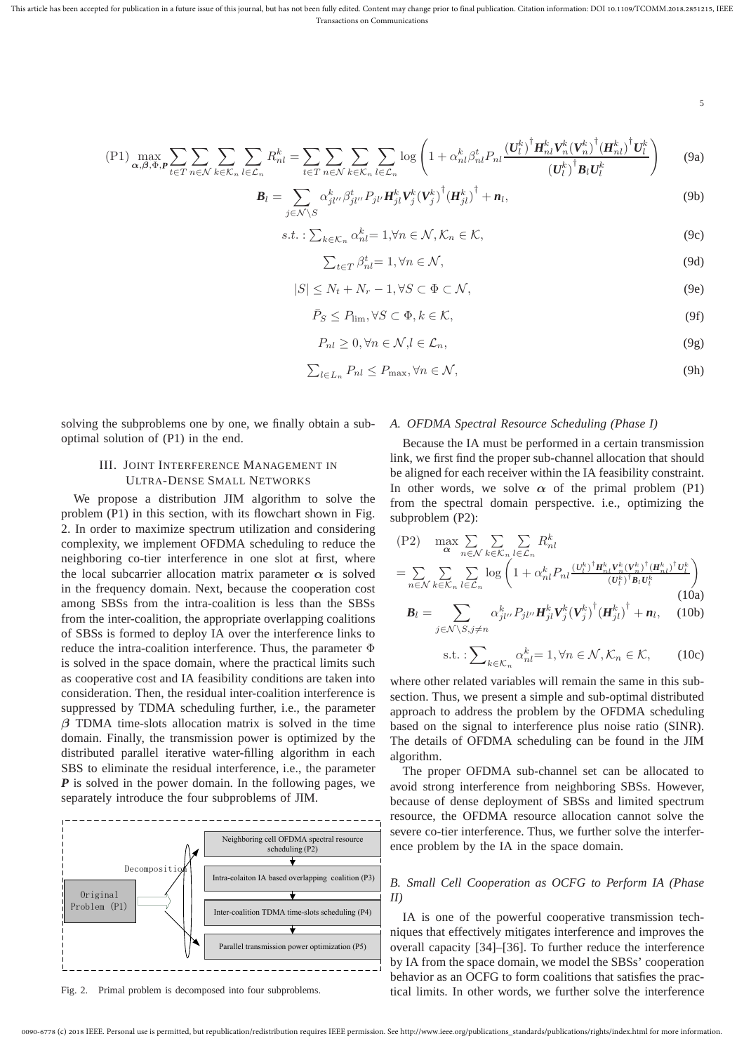5

$$
\text{(P1)}\max_{\alpha,\beta,\Phi,\mathbf{P}}\sum_{t\in T}\sum_{n\in\mathcal{N}}\sum_{k\in\mathcal{K}_n}\sum_{l\in\mathcal{L}_n}R_{nl}^k = \sum_{t\in T}\sum_{n\in\mathcal{N}}\sum_{k\in\mathcal{K}_n}\sum_{l\in\mathcal{L}_n}\log\left(1+\alpha_{nl}^k\beta_{nl}^tP_{nl}\frac{(\boldsymbol{U}_l^k)^{\dagger}\boldsymbol{H}_{nl}^k\boldsymbol{V}_n^k(\boldsymbol{V}_n^k)^{\dagger}(\boldsymbol{H}_{nl}^k)^{\dagger}\boldsymbol{U}_l^k}{(\boldsymbol{U}_l^k)^{\dagger}\boldsymbol{B}_l\boldsymbol{U}_l^k}\right) \tag{9a}
$$

$$
\boldsymbol{B}_{l} = \sum_{j \in \mathcal{N} \backslash S} \alpha_{jl'}^{k} \beta_{jl'}^{t} P_{jl'} \boldsymbol{H}_{jl}^{k} \boldsymbol{V}_{j}^{k} (\boldsymbol{V}_{j}^{k})^{\dagger} (\boldsymbol{H}_{jl}^{k})^{\dagger} + \boldsymbol{n}_{l}, \qquad (9b)
$$

$$
s.t.: \sum_{k \in \mathcal{K}_n} \alpha_{nl}^k = 1, \forall n \in \mathcal{N}, \mathcal{K}_n \in \mathcal{K},
$$
\n
$$
(9c)
$$

$$
\sum_{t \in T} \beta_{nl}^t = 1, \forall n \in \mathcal{N},\tag{9d}
$$

$$
|S| \le N_t + N_r - 1, \forall S \subset \Phi \subset \mathcal{N},\tag{9e}
$$

$$
\bar{P}_S \le P_{\lim}, \forall S \subset \Phi, k \in \mathcal{K},\tag{9f}
$$

$$
P_{nl} \ge 0, \forall n \in \mathcal{N}, l \in \mathcal{L}_n,\tag{9g}
$$

$$
\sum_{l \in L_n} P_{nl} \le P_{\text{max}}, \forall n \in \mathcal{N},\tag{9h}
$$

solving the subproblems one by one, we finally obtain a suboptimal solution of (P1) in the end.

# III. JOINT INTERFERENCE MANAGEMENT IN ULTRA-DENSE SMALL NETWORKS

We propose a distribution JIM algorithm to solve the problem (P1) in this section, with its flowchart shown in Fig. 2. In order to maximize spectrum utilization and considering complexity, we implement OFDMA scheduling to reduce the neighboring co-tier interference in one slot at first, where the local subcarrier allocation matrix parameter  $\alpha$  is solved in the frequency domain. Next, because the cooperation cost among SBSs from the intra-coalition is less than the SBSs from the inter-coalition, the appropriate overlapping coalitions of SBSs is formed to deploy IA over the interference links to reduce the intra-coalition interference. Thus, the parameter Φ is solved in the space domain, where the practical limits such as cooperative cost and IA feasibility conditions are taken into consideration. Then, the residual inter-coalition interference is suppressed by TDMA scheduling further, i.e., the parameter  $\beta$  TDMA time-slots allocation matrix is solved in the time domain. Finally, the transmission power is optimized by the distributed parallel iterative water-filling algorithm in each SBS to eliminate the residual interference, i.e., the parameter *P* is solved in the power domain. In the following pages, we separately introduce the four subproblems of JIM.



Fig. 2. Primal problem is decomposed into four subproblems.

#### *A. OFDMA Spectral Resource Scheduling (Phase I)*

Because the IA must be performed in a certain transmission link, we first find the proper sub-channel allocation that should be aligned for each receiver within the IA feasibility constraint. In other words, we solve  $\alpha$  of the primal problem (P1) from the spectral domain perspective. i.e., optimizing the subproblem (P2):

$$
(P2) \max_{\alpha} \sum_{n \in \mathcal{N}} \sum_{k \in \mathcal{K}_n} \sum_{l \in \mathcal{L}_n} R_{nl}^k
$$
  
\n
$$
= \sum_{n \in \mathcal{N}} \sum_{k \in \mathcal{K}_n} \sum_{l \in \mathcal{L}_n} \log \left( 1 + \alpha_{nl}^k P_{nl} \frac{(U_l^k)^{\dagger} H_{nl}^k V_n^k (V_n^k)^{\dagger} (H_{nl}^k)^{\dagger} U_l^k}{(U_l^k)^{\dagger} B_l U_l^k} \right)
$$
  
\n
$$
B_l = \sum_{l \in \mathcal{N}} \alpha_{jl}^k P_{jl}^l P_{jl}^l W_{jl}^k (V_j^k)^{\dagger} (H_{jl}^k)^{\dagger} + n_l, \quad (10b)
$$

$$
j \in \mathcal{N} \setminus S, j \neq n
$$
  
s.t. :
$$
\sum_{k \in \mathcal{K}_n} \alpha_{nl}^k = 1, \forall n \in \mathcal{N}, \mathcal{K}_n \in \mathcal{K}, \qquad (10c)
$$

where other related variables will remain the same in this subsection. Thus, we present a simple and sub-optimal distributed approach to address the problem by the OFDMA scheduling based on the signal to interference plus noise ratio (SINR). The details of OFDMA scheduling can be found in the JIM algorithm.

The proper OFDMA sub-channel set can be allocated to avoid strong interference from neighboring SBSs. However, because of dense deployment of SBSs and limited spectrum resource, the OFDMA resource allocation cannot solve the severe co-tier interference. Thus, we further solve the interference problem by the IA in the space domain.

# *B. Small Cell Cooperation as OCFG to Perform IA (Phase II)*

IA is one of the powerful cooperative transmission techniques that effectively mitigates interference and improves the overall capacity [34]–[36]. To further reduce the interference by IA from the space domain, we model the SBSs' cooperation behavior as an OCFG to form coalitions that satisfies the practical limits. In other words, we further solve the interference

<sup>0090-6778 (</sup>c) 2018 IEEE. Personal use is permitted, but republication/redistribution requires IEEE permission. See http://www.ieee.org/publications\_standards/publications/rights/index.html for more information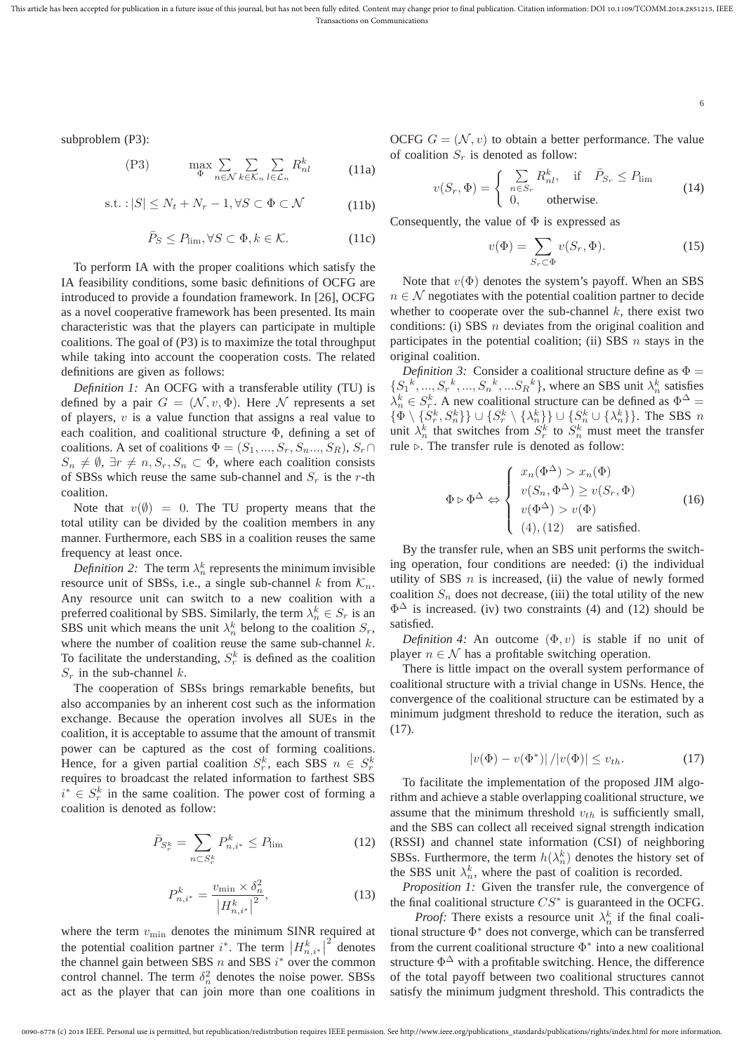subproblem (P3):

$$
(P3) \qquad \max_{\Phi} \sum_{n \in \mathcal{N}} \sum_{k \in \mathcal{K}_n} \sum_{l \in \mathcal{L}_n} R_{nl}^k \qquad (11a)
$$

$$
\text{s.t.}: |S| \le N_t + N_r - 1, \forall S \subset \Phi \subset \mathcal{N} \tag{11b}
$$

$$
\bar{P}_S \le P_{\lim}, \forall S \subset \Phi, k \in \mathcal{K}.\tag{11c}
$$

To perform IA with the proper coalitions which satisfy the IA feasibility conditions, some basic definitions of OCFG are introduced to provide a foundation framework. In [26], OCFG as a novel cooperative framework has been presented. Its main characteristic was that the players can participate in multiple coalitions. The goal of (P3) is to maximize the total throughput while taking into account the cooperation costs. The related definitions are given as follows:

*Definition 1:* An OCFG with a transferable utility (TU) is defined by a pair  $G = (\mathcal{N}, v, \Phi)$ . Here N represents a set of players,  $v$  is a value function that assigns a real value to each coalition, and coalitional structure Φ, defining a set of coalitions. A set of coalitions  $\Phi = (S_1, ..., S_r, S_n, ..., S_R), S_r \cap$  $S_n \neq \emptyset$ ,  $\exists r \neq n$ ,  $S_r$ ,  $S_n \subset \Phi$ , where each coalition consists of SBSs which reuse the same sub-channel and  $S_r$  is the r-th coalition.

Note that  $v(\emptyset) = 0$ . The TU property means that the total utility can be divided by the coalition members in any manner. Furthermore, each SBS in a coalition reuses the same frequency at least once.

*Definition 2:* The term  $\lambda_n^k$  represents the minimum invisible resource unit of SBSs, i.e., a single sub-channel k from  $\mathcal{K}_n$ . Any resource unit can switch to a new coalition with a preferred coalitional by SBS. Similarly, the term  $\lambda_n^k \in S_r$  is an SBS unit which means the unit  $\lambda_n^k$  belong to the coalition  $S_r$ , where the number of coalition reuse the same sub-channel  $k$ . To facilitate the understanding,  $S_r^k$  is defined as the coalition  $S_r$  in the sub-channel k.

The cooperation of SBSs brings remarkable benefits, but also accompanies by an inherent cost such as the information exchange. Because the operation involves all SUEs in the coalition, it is acceptable to assume that the amount of transmit power can be captured as the cost of forming coalitions. Hence, for a given partial coalition  $S_r^k$ , each SBS  $n \in S_r^k$ requires to broadcast the related information to farthest SBS  $i^* \in S_r^k$  in the same coalition. The power cost of forming a coalition is denoted as follow:

$$
\bar{P}_{S_r^k} = \sum_{n \subset S_r^k} P_{n,i^*}^k \le P_{\lim} \tag{12}
$$

$$
P_{n,i^*}^k = \frac{v_{\min} \times \delta_n^2}{|H_{n,i^*}^k|^2},
$$
\n(13)

where the term  $v_{\text{min}}$  denotes the minimum SINR required at the potential coalition partner  $i^*$ . The term  $\left|H_{n,i^*}^k\right|^2$  denotes the channel gain between SBS  $n$  and SBS  $i^*$  over the common control channel. The term  $\delta_n^2$  denotes the noise power. SBSs act as the player that can join more than one coalitions in OCFG  $G = (\mathcal{N}, v)$  to obtain a better performance. The value of coalition  $S_r$  is denoted as follow:

$$
v(S_r, \Phi) = \begin{cases} \sum_{n \in S_r} R_n^k, & \text{if } \bar{P}_{S_r} \le P_{\text{lim}} \\ 0, & \text{otherwise.} \end{cases}
$$
(14)

Consequently, the value of  $\Phi$  is expressed as

$$
v(\Phi) = \sum_{S_r \subset \Phi} v(S_r, \Phi). \tag{15}
$$

6

Note that  $v(\Phi)$  denotes the system's payoff. When an SBS  $n \in \mathcal{N}$  negotiates with the potential coalition partner to decide whether to cooperate over the sub-channel  $k$ , there exist two conditions: (i) SBS  $n$  deviates from the original coalition and participates in the potential coalition; (ii) SBS  $n$  stays in the original coalition.

*Definition 3:* Consider a coalitional structure define as  $\Phi =$  $\{S_1^k, ..., S_r^k, ..., S_n^k, ... S_R^k\}$ , where an SBS unit  $\lambda_n^k$  satisfies  $\lambda_n^k \in S_r^k$ . A new coalitional structure can be defined as  $\Phi^{\Delta}$  =  $\{\Phi \setminus \{S_r^k, S_n^k\}\}\cup \{S_r^k \setminus \{\lambda_n^k\}\}\cup \{S_n^k \cup \{\lambda_n^k\}\}\.$  The SBS  $n$ unit  $\lambda_n^k$  that switches from  $S_r^k$  to  $S_n^k$  must meet the transfer rule  $\triangleright$ . The transfer rule is denoted as follow:

$$
\Phi \triangleright \Phi^{\Delta} \Leftrightarrow \begin{cases} x_n(\Phi^{\Delta}) > x_n(\Phi) \\ v(S_n, \Phi^{\Delta}) \ge v(S_r, \Phi) \\ v(\Phi^{\Delta}) > v(\Phi) \\ (4), (12) \quad \text{are satisfied.} \end{cases}
$$
 (16)

By the transfer rule, when an SBS unit performs the switching operation, four conditions are needed: (i) the individual utility of SBS  $n$  is increased, (ii) the value of newly formed coalition  $S_n$  does not decrease, (iii) the total utility of the new  $\Phi^{\Delta}$  is increased. (iv) two constraints (4) and (12) should be satisfied.

*Definition 4:* An outcome  $(\Phi, v)$  is stable if no unit of player  $n \in \mathcal{N}$  has a profitable switching operation.

There is little impact on the overall system performance of coalitional structure with a trivial change in USNs. Hence, the convergence of the coalitional structure can be estimated by a minimum judgment threshold to reduce the iteration, such as (17).

$$
|v(\Phi) - v(\Phi^*)| / |v(\Phi)| \le v_{th}.
$$
 (17)

To facilitate the implementation of the proposed JIM algorithm and achieve a stable overlapping coalitional structure, we assume that the minimum threshold  $v_{th}$  is sufficiently small, and the SBS can collect all received signal strength indication (RSSI) and channel state information (CSI) of neighboring SBSs. Furthermore, the term  $h(\lambda_n^k)$  denotes the history set of the SBS unit  $\lambda_n^k$ , where the past of coalition is recorded.

*Proposition 1:* Given the transfer rule, the convergence of the final coalitional structure  $CS^*$  is guaranteed in the OCFG.

*Proof:* There exists a resource unit  $\lambda_n^k$  if the final coalitional structure Φ <sup>∗</sup> does not converge, which can be transferred from the current coalitional structure  $\Phi^*$  into a new coalitional structure  $\Phi^{\Delta}$  with a profitable switching. Hence, the difference of the total payoff between two coalitional structures cannot satisfy the minimum judgment threshold. This contradicts the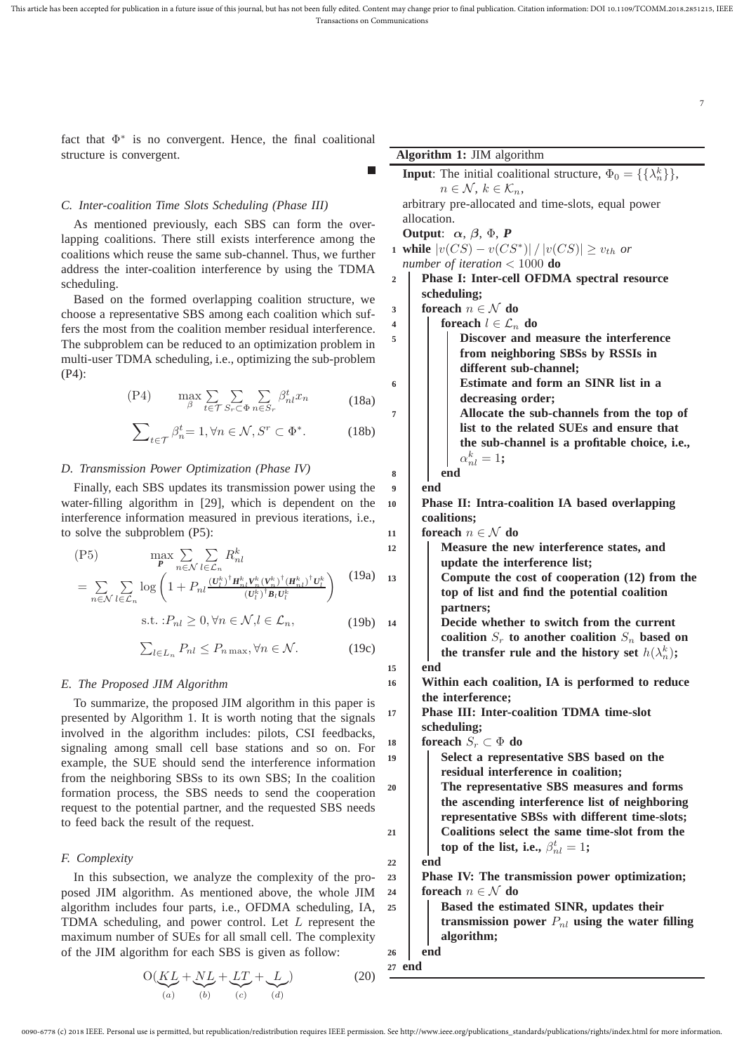fact that  $\Phi^*$  is no convergent. Hence, the final coalitional structure is convergent.

# *C. Inter-coalition Time Slots Scheduling (Phase III)*

As mentioned previously, each SBS can form the overlapping coalitions. There still exists interference among the coalitions which reuse the same sub-channel. Thus, we further address the inter-coalition interference by using the TDMA scheduling.

Based on the formed overlapping coalition structure, we choose a representative SBS among each coalition which suffers the most from the coalition member residual interference. The subproblem can be reduced to an optimization problem in multi-user TDMA scheduling, i.e., optimizing the sub-problem (P4):

$$
(P4) \qquad \max_{\beta} \sum_{t \in \mathcal{T}} \sum_{S_r \subset \Phi} \sum_{n \in S_r} \beta_{nl}^t x_n \tag{18a}
$$

$$
\sum_{t \in \mathcal{T}} \beta_n^t = 1, \forall n \in \mathcal{N}, S^r \subset \Phi^*.
$$
 (18b)

#### *D. Transmission Power Optimization (Phase IV)*

Finally, each SBS updates its transmission power using the water-filling algorithm in [29], which is dependent on the interference information measured in previous iterations, i.e., to solve the subproblem (P5):

$$
\begin{array}{lll}\n\text{(P5)} & \max \sum_{n \in \mathcal{N}} \sum_{l \in \mathcal{L}_n} R_{nl}^k \\
& = \sum_{n \in \mathcal{N}} \sum_{l \in \mathcal{C}} \log \left( 1 + P_{nl} \frac{\left( U_l^k \right)^{\dagger} H_{nl}^k V_n^k \left( V_n^k \right)^{\dagger} \left( H_{nl}^k \right)^{\dagger} U_l^k}{\left( U_l^k \right)^{\dagger} B_l U_l^k} \right) \n\end{array} \tag{19a}
$$

$$
l \in \mathcal{L}_n \qquad \qquad (b_l, b_l c_l)
$$
  
s.t. : $P_{nl} \ge 0, \forall n \in \mathcal{N}, l \in \mathcal{L}_n,$  (19b)

$$
\sum_{l \in L_n} P_{nl} \le P_{n \max}, \forall n \in \mathcal{N}.
$$
 (19c)

## *E. The Proposed JIM Algorithm*

To summarize, the proposed JIM algorithm in this paper is presented by Algorithm 1. It is worth noting that the signals involved in the algorithm includes: pilots, CSI feedbacks, signaling among small cell base stations and so on. For example, the SUE should send the interference information from the neighboring SBSs to its own SBS; In the coalition formation process, the SBS needs to send the cooperation request to the potential partner, and the requested SBS needs to feed back the result of the request.

## *F. Complexity*

n∈N

In this subsection, we analyze the complexity of the proposed JIM algorithm. As mentioned above, the whole JIM algorithm includes four parts, i.e., OFDMA scheduling, IA, TDMA scheduling, and power control. Let L represent the maximum number of SUEs for all small cell. The complexity of the JIM algorithm for each SBS is given as follow:

$$
O(\underbrace{KL}_{(a)} + \underbrace{NL}_{(b)} + \underbrace{LT}_{(c)} + \underbrace{L}_{(d)})
$$
 (20)

| <b>Algorithm 1: JIM algorithm</b> |                                                                                 |  |  |
|-----------------------------------|---------------------------------------------------------------------------------|--|--|
|                                   | <b>Input:</b> The initial coalitional structure, $\Phi_0 = {\{\lambda_n^k\}}$ , |  |  |
|                                   | $n \in \mathcal{N}, k \in \mathcal{K}_n$                                        |  |  |
|                                   | arbitrary pre-allocated and time-slots, equal power                             |  |  |
|                                   | allocation.                                                                     |  |  |
|                                   | Output: $\alpha$ , $\beta$ , $\Phi$ , <b>P</b>                                  |  |  |
|                                   | 1 while $ v(CS) - v(CS^*)  /  v(CS)  \ge v_{th}$ or                             |  |  |
| number of iteration $< 1000$ do   |                                                                                 |  |  |
| $\overline{2}$                    | <b>Phase I: Inter-cell OFDMA spectral resource</b>                              |  |  |
|                                   | scheduling;                                                                     |  |  |
| $\overline{\mathbf{3}}$           | foreach $n \in \mathcal{N}$ do                                                  |  |  |
| 4                                 | foreach $l \in \mathcal{L}_n$ do<br>I                                           |  |  |
|                                   |                                                                                 |  |  |

7

| 5                                                    | Discover and measure the interference                    |  |  |
|------------------------------------------------------|----------------------------------------------------------|--|--|
|                                                      | from neighboring SBSs by RSSIs in                        |  |  |
|                                                      | different sub-channel;                                   |  |  |
| 6                                                    | Estimate and form an SINR list in a                      |  |  |
|                                                      | decreasing order;                                        |  |  |
| $\overline{7}$                                       | Allocate the sub-channels from the top of                |  |  |
|                                                      | list to the related SUEs and ensure that                 |  |  |
|                                                      | the sub-channel is a profitable choice, i.e.,            |  |  |
|                                                      | $\alpha_{nl}^k=1;$                                       |  |  |
| 8                                                    | end                                                      |  |  |
| $\boldsymbol{9}$                                     | end                                                      |  |  |
| Phase II: Intra-coalition IA based overlapping<br>10 |                                                          |  |  |
|                                                      | coalitions;                                              |  |  |
| 11                                                   | foreach $n \in \mathcal{N}$ do                           |  |  |
| 12                                                   | Measure the new interference states, and                 |  |  |
|                                                      | update the interference list;                            |  |  |
| 13                                                   | Compute the cost of cooperation (12) from the            |  |  |
|                                                      | top of list and find the potential coalition             |  |  |
|                                                      | partners;                                                |  |  |
| 14                                                   | Decide whether to switch from the current                |  |  |
|                                                      | coalition $S_r$ to another coalition $S_n$ based on      |  |  |
|                                                      | the transfer rule and the history set $h(\lambda_n^k)$ ; |  |  |
| 15                                                   | end                                                      |  |  |
| 16                                                   | Within each coalition, IA is performed to reduce         |  |  |
|                                                      | the interference;                                        |  |  |
| 17                                                   | Phase III: Inter-coalition TDMA time-slot                |  |  |
|                                                      | scheduling;                                              |  |  |
| 18                                                   | foreach $S_r \subset \Phi$ do                            |  |  |
| 19                                                   | Select a representative SBS based on the                 |  |  |
|                                                      | residual interference in coalition;                      |  |  |
| 20                                                   | The representative SBS measures and forms                |  |  |
|                                                      | the ascending interference list of neighboring           |  |  |
|                                                      | representative SBSs with different time-slots;           |  |  |
| 21                                                   | Coalitions select the same time-slot from the            |  |  |
|                                                      | top of the list, i.e., $\beta_{nl}^t = 1$ ;              |  |  |
| 22                                                   | end                                                      |  |  |
| 23                                                   | Phase IV: The transmission power optimization;           |  |  |
| 24                                                   | foreach $n \in \mathcal{N}$ do                           |  |  |
| 25                                                   | Based the estimated SINR, updates their                  |  |  |
|                                                      | transmission power $P_{nl}$ using the water filling      |  |  |
|                                                      | algorithm;                                               |  |  |

**<sup>26</sup> end <sup>27</sup> end**

**<sup>15</sup> end**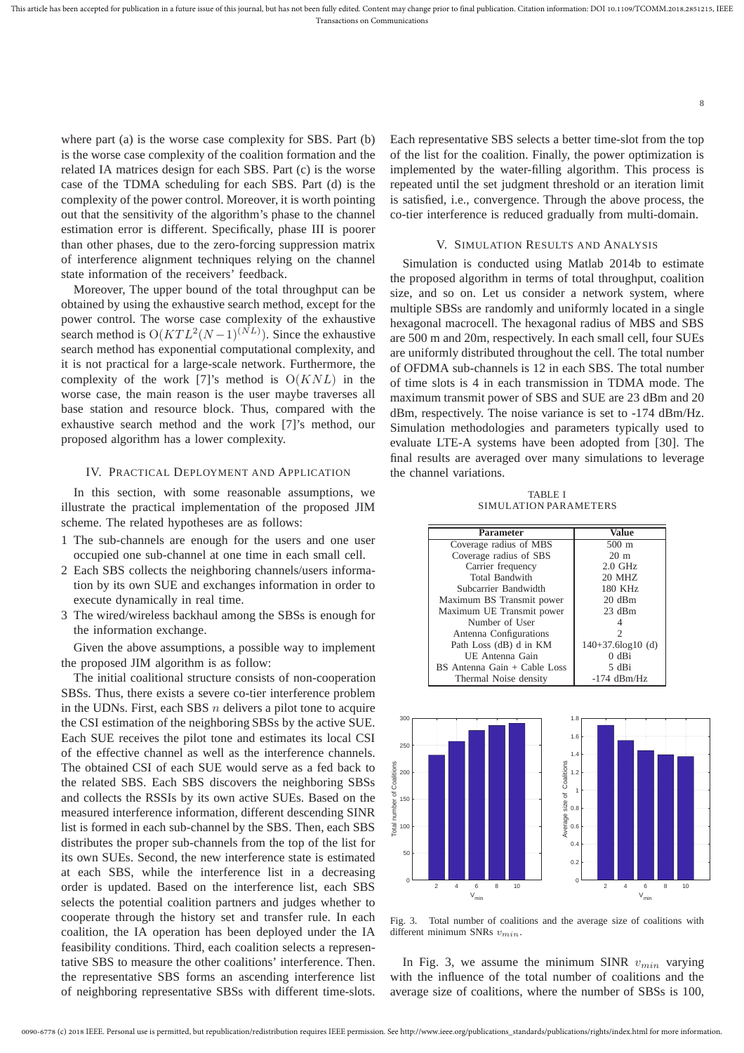where part (a) is the worse case complexity for SBS. Part (b) is the worse case complexity of the coalition formation and the related IA matrices design for each SBS. Part (c) is the worse case of the TDMA scheduling for each SBS. Part (d) is the complexity of the power control. Moreover, it is worth pointing out that the sensitivity of the algorithm's phase to the channel estimation error is different. Specifically, phase III is poorer than other phases, due to the zero-forcing suppression matrix of interference alignment techniques relying on the channel state information of the receivers' feedback.

Moreover, The upper bound of the total throughput can be obtained by using the exhaustive search method, except for the power control. The worse case complexity of the exhaustive search method is  $O(KTL^2(N-1)^{(NL)})$ . Since the exhaustive search method has exponential computational complexity, and it is not practical for a large-scale network. Furthermore, the complexity of the work [7]'s method is  $O(KNL)$  in the worse case, the main reason is the user maybe traverses all base station and resource block. Thus, compared with the exhaustive search method and the work [7]'s method, our proposed algorithm has a lower complexity.

# IV. PRACTICAL DEPLOYMENT AND APPLICATION

In this section, with some reasonable assumptions, we illustrate the practical implementation of the proposed JIM scheme. The related hypotheses are as follows:

- 1 The sub-channels are enough for the users and one user occupied one sub-channel at one time in each small cell.
- 2 Each SBS collects the neighboring channels/users information by its own SUE and exchanges information in order to execute dynamically in real time.
- 3 The wired/wireless backhaul among the SBSs is enough for the information exchange.

Given the above assumptions, a possible way to implement the proposed JIM algorithm is as follow:

The initial coalitional structure consists of non-cooperation SBSs. Thus, there exists a severe co-tier interference problem in the UDNs. First, each SBS  $n$  delivers a pilot tone to acquire the CSI estimation of the neighboring SBSs by the active SUE. Each SUE receives the pilot tone and estimates its local CSI of the effective channel as well as the interference channels. The obtained CSI of each SUE would serve as a fed back to the related SBS. Each SBS discovers the neighboring SBSs and collects the RSSIs by its own active SUEs. Based on the measured interference information, different descending SINR list is formed in each sub-channel by the SBS. Then, each SBS distributes the proper sub-channels from the top of the list for its own SUEs. Second, the new interference state is estimated at each SBS, while the interference list in a decreasing order is updated. Based on the interference list, each SBS selects the potential coalition partners and judges whether to cooperate through the history set and transfer rule. In each coalition, the IA operation has been deployed under the IA feasibility conditions. Third, each coalition selects a representative SBS to measure the other coalitions' interference. Then. the representative SBS forms an ascending interference list of neighboring representative SBSs with different time-slots.

Each representative SBS selects a better time-slot from the top of the list for the coalition. Finally, the power optimization is implemented by the water-filling algorithm. This process is repeated until the set judgment threshold or an iteration limit is satisfied, i.e., convergence. Through the above process, the co-tier interference is reduced gradually from multi-domain.

8

# V. SIMULATION RESULTS AND ANALYSIS

Simulation is conducted using Matlab 2014b to estimate the proposed algorithm in terms of total throughput, coalition size, and so on. Let us consider a network system, where multiple SBSs are randomly and uniformly located in a single hexagonal macrocell. The hexagonal radius of MBS and SBS are 500 m and 20m, respectively. In each small cell, four SUEs are uniformly distributed throughout the cell. The total number of OFDMA sub-channels is 12 in each SBS. The total number of time slots is 4 in each transmission in TDMA mode. The maximum transmit power of SBS and SUE are 23 dBm and 20 dBm, respectively. The noise variance is set to -174 dBm/Hz. Simulation methodologies and parameters typically used to evaluate LTE-A systems have been adopted from [30]. The final results are averaged over many simulations to leverage the channel variations.

TABLE I SIMULATION PARAMETERS

| <b>Parameter</b>             | Value               |
|------------------------------|---------------------|
| Coverage radius of MBS       | $500 \text{ m}$     |
| Coverage radius of SBS       | $20 \text{ m}$      |
| Carrier frequency            | $2.0$ GHz           |
| <b>Total Bandwith</b>        | <b>20 MHZ</b>       |
| Subcarrier Bandwidth         | 180 KHz             |
| Maximum BS Transmit power    | $20$ dBm            |
| Maximum UE Transmit power    | $23$ dBm            |
| Number of User               |                     |
| Antenna Configurations       | 2                   |
| Path Loss (dB) d in KM       | $140+37.6log10$ (d) |
| UE Antenna Gain              | $0$ dBi             |
| BS Antenna Gain + Cable Loss | 5 dBi               |
| Thermal Noise density        | $-174$ dBm/Hz       |



Fig. 3. Total number of coalitions and the average size of coalitions with different minimum SNRs  $v_{min}$ .

In Fig. 3, we assume the minimum SINR  $v_{min}$  varying with the influence of the total number of coalitions and the average size of coalitions, where the number of SBSs is 100,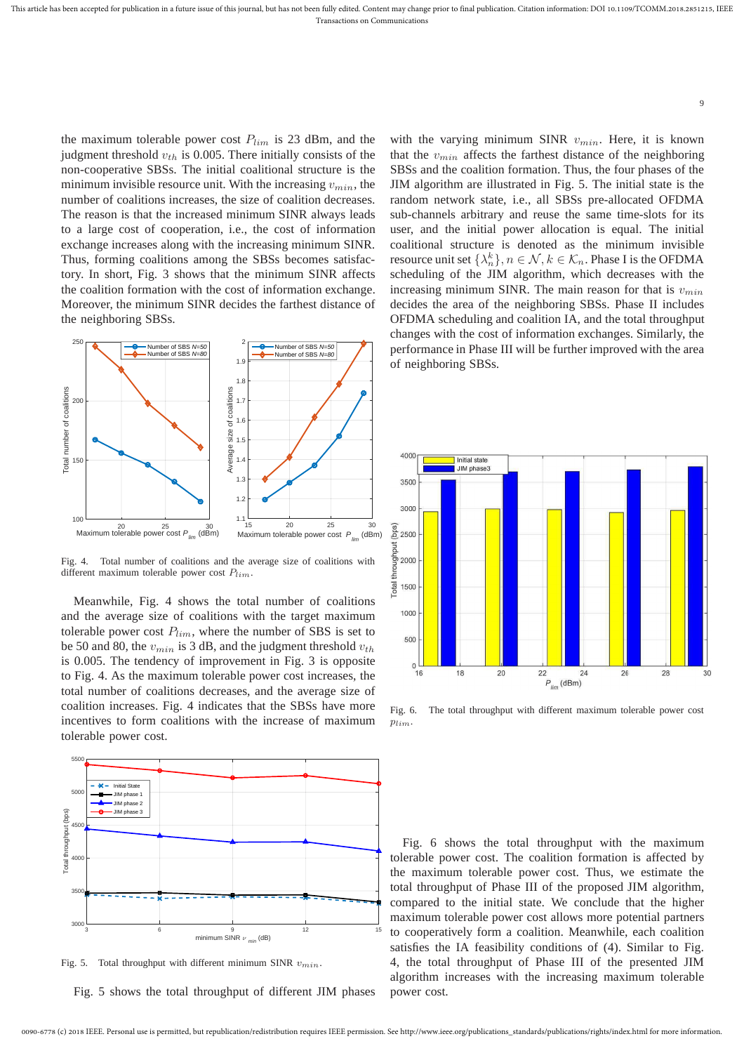the maximum tolerable power cost  $P_{lim}$  is 23 dBm, and the judgment threshold  $v_{th}$  is 0.005. There initially consists of the non-cooperative SBSs. The initial coalitional structure is the minimum invisible resource unit. With the increasing  $v_{min}$ , the number of coalitions increases, the size of coalition decreases. The reason is that the increased minimum SINR always leads to a large cost of cooperation, i.e., the cost of information exchange increases along with the increasing minimum SINR. Thus, forming coalitions among the SBSs becomes satisfactory. In short, Fig. 3 shows that the minimum SINR affects the coalition formation with the cost of information exchange. Moreover, the minimum SINR decides the farthest distance of the neighboring SBSs.



Fig. 4. Total number of coalitions and the average size of coalitions with different maximum tolerable power cost  $P_{lim}$ .

Meanwhile, Fig. 4 shows the total number of coalitions and the average size of coalitions with the target maximum tolerable power cost  $P_{lim}$ , where the number of SBS is set to be 50 and 80, the  $v_{min}$  is 3 dB, and the judgment threshold  $v_{th}$ is 0.005. The tendency of improvement in Fig. 3 is opposite to Fig. 4. As the maximum tolerable power cost increases, the total number of coalitions decreases, and the average size of coalition increases. Fig. 4 indicates that the SBSs have more incentives to form coalitions with the increase of maximum tolerable power cost.



Fig. 5. Total throughput with different minimum SINR  $v_{min}$ .

Fig. 5 shows the total throughput of different JIM phases

with the varying minimum SINR  $v_{min}$ . Here, it is known that the  $v_{min}$  affects the farthest distance of the neighboring SBSs and the coalition formation. Thus, the four phases of the JIM algorithm are illustrated in Fig. 5. The initial state is the random network state, i.e., all SBSs pre-allocated OFDMA sub-channels arbitrary and reuse the same time-slots for its user, and the initial power allocation is equal. The initial coalitional structure is denoted as the minimum invisible resource unit set  $\{\lambda_n^k\}, n \in \mathcal{N}, k \in \mathcal{K}_n$ . Phase I is the OFDMA scheduling of the JIM algorithm, which decreases with the increasing minimum SINR. The main reason for that is  $v_{min}$ decides the area of the neighboring SBSs. Phase II includes OFDMA scheduling and coalition IA, and the total throughput changes with the cost of information exchanges. Similarly, the performance in Phase III will be further improved with the area of neighboring SBSs.



Fig. 6. The total throughput with different maximum tolerable power cost  $p_{lim}$ 

Fig. 6 shows the total throughput with the maximum tolerable power cost. The coalition formation is affected by the maximum tolerable power cost. Thus, we estimate the total throughput of Phase III of the proposed JIM algorithm, compared to the initial state. We conclude that the higher maximum tolerable power cost allows more potential partners to cooperatively form a coalition. Meanwhile, each coalition satisfies the IA feasibility conditions of (4). Similar to Fig. 4, the total throughput of Phase III of the presented JIM algorithm increases with the increasing maximum tolerable power cost.

9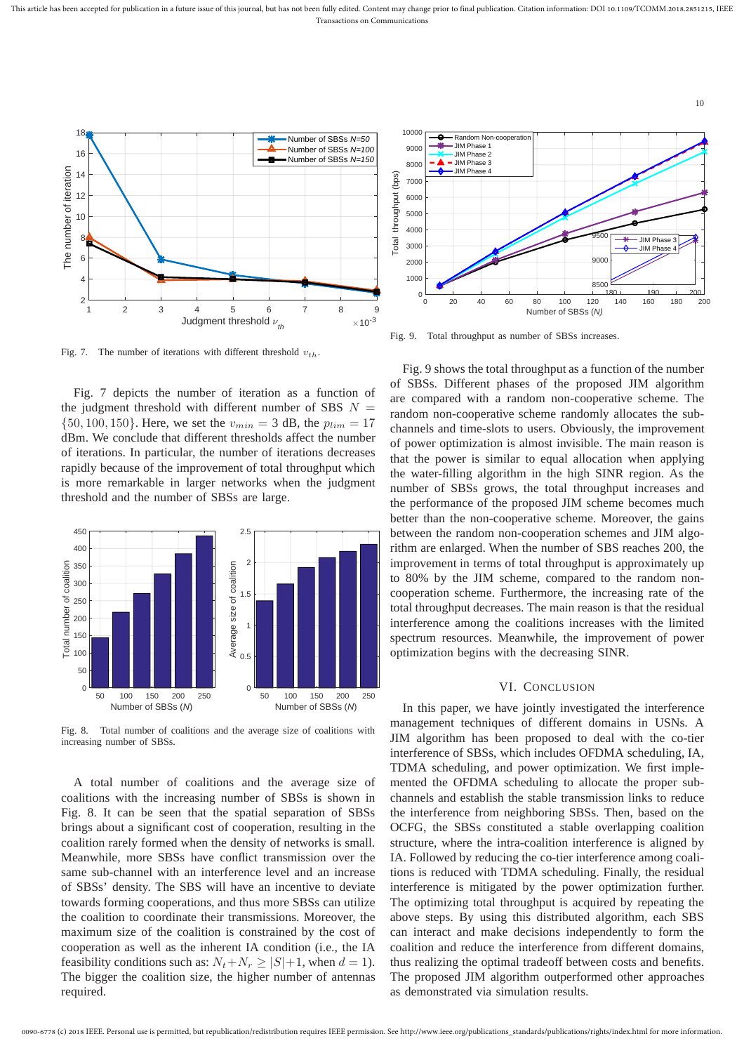This article has been accepted for publication in a future issue of this journal, but has not been fully edited. Content may change prior to final publication. Citation information: DOI 10.1109/TCOMM.2018.2851215, IEEE Transactions on Communications



Fig. 7. The number of iterations with different threshold  $v_{th}$ .

Fig. 7 depicts the number of iteration as a function of the judgment threshold with different number of SBS  $N$  $\{50, 100, 150\}$ . Here, we set the  $v_{min} = 3$  dB, the  $p_{lim} = 17$ dBm. We conclude that different thresholds affect the number of iterations. In particular, the number of iterations decreases rapidly because of the improvement of total throughput which is more remarkable in larger networks when the judgment threshold and the number of SBSs are large.



Fig. 8. Total number of coalitions and the average size of coalitions with increasing number of SBSs.

A total number of coalitions and the average size of coalitions with the increasing number of SBSs is shown in Fig. 8. It can be seen that the spatial separation of SBSs brings about a significant cost of cooperation, resulting in the coalition rarely formed when the density of networks is small. Meanwhile, more SBSs have conflict transmission over the same sub-channel with an interference level and an increase of SBSs' density. The SBS will have an incentive to deviate towards forming cooperations, and thus more SBSs can utilize the coalition to coordinate their transmissions. Moreover, the maximum size of the coalition is constrained by the cost of cooperation as well as the inherent IA condition (i.e., the IA feasibility conditions such as:  $N_t + N_r \ge |S| + 1$ , when  $d = 1$ ). The bigger the coalition size, the higher number of antennas required.



Fig. 9. Total throughput as number of SBSs increases.

Fig. 9 shows the total throughput as a function of the number of SBSs. Different phases of the proposed JIM algorithm are compared with a random non-cooperative scheme. The random non-cooperative scheme randomly allocates the subchannels and time-slots to users. Obviously, the improvement of power optimization is almost invisible. The main reason is that the power is similar to equal allocation when applying the water-filling algorithm in the high SINR region. As the number of SBSs grows, the total throughput increases and the performance of the proposed JIM scheme becomes much better than the non-cooperative scheme. Moreover, the gains between the random non-cooperation schemes and JIM algorithm are enlarged. When the number of SBS reaches 200, the improvement in terms of total throughput is approximately up to 80% by the JIM scheme, compared to the random noncooperation scheme. Furthermore, the increasing rate of the total throughput decreases. The main reason is that the residual interference among the coalitions increases with the limited spectrum resources. Meanwhile, the improvement of power optimization begins with the decreasing SINR.

# VI. CONCLUSION

In this paper, we have jointly investigated the interference management techniques of different domains in USNs. A JIM algorithm has been proposed to deal with the co-tier interference of SBSs, which includes OFDMA scheduling, IA, TDMA scheduling, and power optimization. We first implemented the OFDMA scheduling to allocate the proper subchannels and establish the stable transmission links to reduce the interference from neighboring SBSs. Then, based on the OCFG, the SBSs constituted a stable overlapping coalition structure, where the intra-coalition interference is aligned by IA. Followed by reducing the co-tier interference among coalitions is reduced with TDMA scheduling. Finally, the residual interference is mitigated by the power optimization further. The optimizing total throughput is acquired by repeating the above steps. By using this distributed algorithm, each SBS can interact and make decisions independently to form the coalition and reduce the interference from different domains, thus realizing the optimal tradeoff between costs and benefits. The proposed JIM algorithm outperformed other approaches as demonstrated via simulation results.

10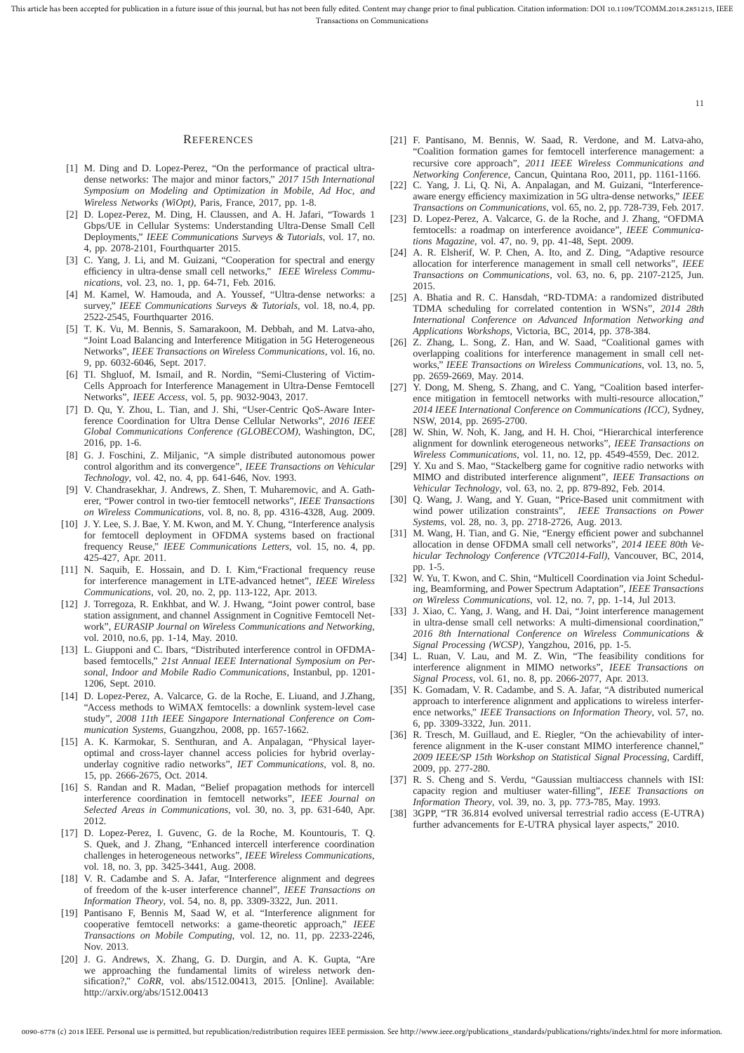#### **REFERENCES**

- [1] M. Ding and D. Lopez-Perez, "On the performance of practical ultradense networks: The major and minor factors," *2017 15th International Symposium on Modeling and Optimization in Mobile, Ad Hoc, and Wireless Networks (WiOpt)*, Paris, France, 2017, pp. 1-8.
- [2] D. Lopez-Perez, M. Ding, H. Claussen, and A. H. Jafari, "Towards 1 Gbps/UE in Cellular Systems: Understanding Ultra-Dense Small Cell Deployments," *IEEE Communications Surveys & Tutorials*, vol. 17, no. 4, pp. 2078-2101, Fourthquarter 2015.
- [3] C. Yang, J. Li, and M. Guizani, "Cooperation for spectral and energy efficiency in ultra-dense small cell networks," *IEEE Wireless Communications*, vol. 23, no. 1, pp. 64-71, Feb. 2016.
- [4] M. Kamel, W. Hamouda, and A. Youssef, "Ultra-dense networks: a survey," *IEEE Communications Surveys & Tutorials*, vol. 18, no.4, pp. 2522-2545, Fourthquarter 2016.
- [5] T. K. Vu, M. Bennis, S. Samarakoon, M. Debbah, and M. Latva-aho, "Joint Load Balancing and Interference Mitigation in 5G Heterogeneous Networks", *IEEE Transactions on Wireless Communications*, vol. 16, no. 9, pp. 6032-6046, Sept. 2017.
- [6] TI. Shgluof, M. Ismail, and R. Nordin, "Semi-Clustering of Victim-Cells Approach for Interference Management in Ultra-Dense Femtocell Networks", *IEEE Access*, vol. 5, pp. 9032-9043, 2017.
- [7] D. Qu, Y. Zhou, L. Tian, and J. Shi, "User-Centric QoS-Aware Interference Coordination for Ultra Dense Cellular Networks", *2016 IEEE Global Communications Conference (GLOBECOM)*, Washington, DC, 2016, pp. 1-6.
- [8] G. J. Foschini, Z. Miljanic, "A simple distributed autonomous power control algorithm and its convergence", *IEEE Transactions on Vehicular Technology*, vol. 42, no. 4, pp. 641-646, Nov. 1993.
- [9] V. Chandrasekhar, J. Andrews, Z. Shen, T. Muharemovic, and A. Gatherer, "Power control in two-tier femtocell networks", *IEEE Transactions on Wireless Communications*, vol. 8, no. 8, pp. 4316-4328, Aug. 2009.
- [10] J. Y. Lee, S. J. Bae, Y. M. Kwon, and M. Y. Chung, "Interference analysis for femtocell deployment in OFDMA systems based on fractional frequency Reuse," *IEEE Communications Letters*, vol. 15, no. 4, pp. 425-427, Apr. 2011.
- [11] N. Saquib, E. Hossain, and D. I. Kim, "Fractional frequency reuse for interference management in LTE-advanced hetnet", *IEEE Wireless Communications*, vol. 20, no. 2, pp. 113-122, Apr. 2013.
- [12] J. Torregoza, R. Enkhbat, and W. J. Hwang, "Joint power control, base station assignment, and channel Assignment in Cognitive Femtocell Network", *EURASIP Journal on Wireless Communications and Networking*, vol. 2010, no.6, pp. 1-14, May. 2010.
- [13] L. Giupponi and C. Ibars, "Distributed interference control in OFDMAbased femtocells," *21st Annual IEEE International Symposium on Personal, Indoor and Mobile Radio Communications*, Instanbul, pp. 1201- 1206, Sept. 2010.
- [14] D. Lopez-Perez, A. Valcarce, G. de la Roche, E. Liuand, and J.Zhang, "Access methods to WiMAX femtocells: a downlink system-level case study", *2008 11th IEEE Singapore International Conference on Communication Systems*, Guangzhou, 2008, pp. 1657-1662.
- [15] A. K. Karmokar, S. Senthuran, and A. Anpalagan, "Physical layeroptimal and cross-layer channel access policies for hybrid overlayunderlay cognitive radio networks", *IET Communications*, vol. 8, no. 15, pp. 2666-2675, Oct. 2014.
- [16] S. Randan and R. Madan, "Belief propagation methods for intercell interference coordination in femtocell networks", *IEEE Journal on Selected Areas in Communications*, vol. 30, no. 3, pp. 631-640, Apr. 2012.
- [17] D. Lopez-Perez, I. Guvenc, G. de la Roche, M. Kountouris, T. Q. S. Quek, and J. Zhang, "Enhanced intercell interference coordination challenges in heterogeneous networks", *IEEE Wireless Communications*, vol. 18, no. 3, pp. 3425-3441, Aug. 2008.
- [18] V. R. Cadambe and S. A. Jafar, "Interference alignment and degrees of freedom of the k-user interference channel", *IEEE Transactions on Information Theory*, vol. 54, no. 8, pp. 3309-3322, Jun. 2011.
- [19] Pantisano F, Bennis M, Saad W, et al. "Interference alignment for cooperative femtocell networks: a game-theoretic approach," *IEEE Transactions on Mobile Computing*, vol. 12, no. 11, pp. 2233-2246, Nov. 2013.
- [20] J. G. Andrews, X. Zhang, G. D. Durgin, and A. K. Gupta, "Are we approaching the fundamental limits of wireless network densification?," *CoRR*, vol. abs/1512.00413, 2015. [Online]. Available: http://arxiv.org/abs/1512.00413

[21] F. Pantisano, M. Bennis, W. Saad, R. Verdone, and M. Latva-aho, "Coalition formation games for femtocell interference management: a recursive core approach", *2011 IEEE Wireless Communications and Networking Conference*, Cancun, Quintana Roo, 2011, pp. 1161-1166.

11

- [22] C. Yang, J. Li, Q. Ni, A. Anpalagan, and M. Guizani, "Interferenceaware energy efficiency maximization in 5G ultra-dense networks," *IEEE Transactions on Communications*, vol. 65, no. 2, pp. 728-739, Feb. 2017.
- [23] D. Lopez-Perez, A. Valcarce, G. de la Roche, and J. Zhang, "OFDMA femtocells: a roadmap on interference avoidance", *IEEE Communications Magazine*, vol. 47, no. 9, pp. 41-48, Sept. 2009.
- [24] A. R. Elsherif, W. P. Chen, A. Ito, and Z. Ding, "Adaptive resource allocation for interference management in small cell networks", *IEEE Transactions on Communications*, vol. 63, no. 6, pp. 2107-2125, Jun. 2015.
- [25] A. Bhatia and R. C. Hansdah, "RD-TDMA: a randomized distributed TDMA scheduling for correlated contention in WSNs", *2014 28th International Conference on Advanced Information Networking and Applications Workshops*, Victoria, BC, 2014, pp. 378-384.
- [26] Z. Zhang, L. Song, Z. Han, and W. Saad, "Coalitional games with overlapping coalitions for interference management in small cell networks," *IEEE Transactions on Wireless Communications*, vol. 13, no. 5, pp. 2659-2669, May. 2014.
- [27] Y. Dong, M. Sheng, S. Zhang, and C. Yang, "Coalition based interference mitigation in femtocell networks with multi-resource allocation," *2014 IEEE International Conference on Communications (ICC)*, Sydney, NSW, 2014, pp. 2695-2700.
- W. Shin, W. Noh, K. Jang, and H. H. Choi, "Hierarchical interference alignment for downlink eterogeneous networks", *IEEE Transactions on Wireless Communications*, vol. 11, no. 12, pp. 4549-4559, Dec. 2012.
- [29] Y. Xu and S. Mao, "Stackelberg game for cognitive radio networks with MIMO and distributed interference alignment", *IEEE Transactions on Vehicular Technology*, vol. 63, no. 2, pp. 879-892, Feb. 2014.
- [30] Q. Wang, J. Wang, and Y. Guan, "Price-Based unit commitment with wind power utilization constraints", *IEEE Transactions on Power Systems*, vol. 28, no. 3, pp. 2718-2726, Aug. 2013.
- [31] M. Wang, H. Tian, and G. Nie, "Energy efficient power and subchannel allocation in dense OFDMA small cell networks", *2014 IEEE 80th Vehicular Technology Conference (VTC2014-Fall)*, Vancouver, BC, 2014, pp. 1-5.
- [32] W. Yu, T. Kwon, and C. Shin, "Multicell Coordination via Joint Scheduling, Beamforming, and Power Spectrum Adaptation", *IEEE Transactions on Wireless Communications*, vol. 12, no. 7, pp. 1-14, Jul 2013.
- [33] J. Xiao, C. Yang, J. Wang, and H. Dai, "Joint interference management in ultra-dense small cell networks: A multi-dimensional coordination," *2016 8th International Conference on Wireless Communications & Signal Processing (WCSP)*, Yangzhou, 2016, pp. 1-5.
- [34] L. Ruan, V. Lau, and M. Z. Win, "The feasibility conditions for interference alignment in MIMO networks", *IEEE Transactions on Signal Process*, vol. 61, no. 8, pp. 2066-2077, Apr. 2013.
- [35] K. Gomadam, V. R. Cadambe, and S. A. Jafar, "A distributed numerical approach to interference alignment and applications to wireless interference networks," *IEEE Transactions on Information Theory*, vol. 57, no. 6, pp. 3309-3322, Jun. 2011.
- [36] R. Tresch, M. Guillaud, and E. Riegler, "On the achievability of interference alignment in the K-user constant MIMO interference channel," *2009 IEEE/SP 15th Workshop on Statistical Signal Processing*, Cardiff, 2009, pp. 277-280.
- [37] R. S. Cheng and S. Verdu, "Gaussian multiaccess channels with ISI: capacity region and multiuser water-filling", *IEEE Transactions on Information Theory*, vol. 39, no. 3, pp. 773-785, May. 1993.
- [38] 3GPP, "TR 36.814 evolved universal terrestrial radio access (E-UTRA) further advancements for E-UTRA physical layer aspects," 2010.